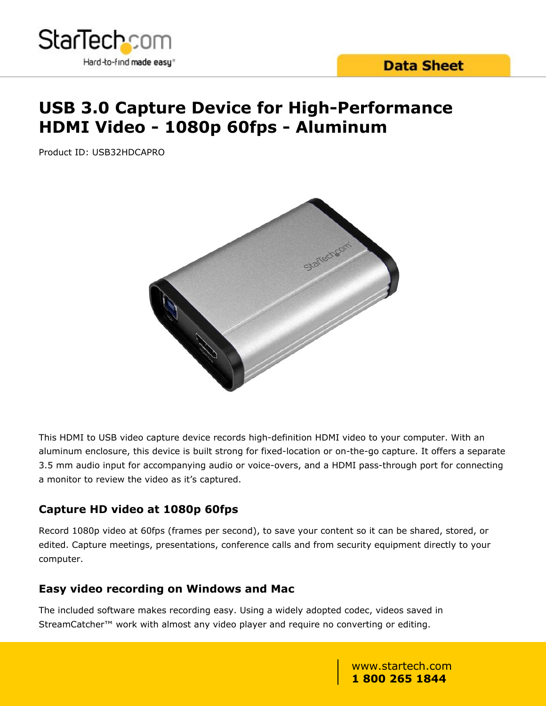

# **USB 3.0 Capture Device for High-Performance HDMI Video - 1080p 60fps - Aluminum**

Product ID: USB32HDCAPRO



This HDMI to USB video capture device records high-definition HDMI video to your computer. With an aluminum enclosure, this device is built strong for fixed-location or on-the-go capture. It offers a separate 3.5 mm audio input for accompanying audio or voice-overs, and a HDMI pass-through port for connecting a monitor to review the video as it's captured.

#### **Capture HD video at 1080p 60fps**

Record 1080p video at 60fps (frames per second), to save your content so it can be shared, stored, or edited. Capture meetings, presentations, conference calls and from security equipment directly to your computer.

#### **Easy video recording on Windows and Mac**

The included software makes recording easy. Using a widely adopted codec, videos saved in StreamCatcher<sup>™</sup> work with almost any video player and require no converting or editing.

> www.startech.com **1 800 265 1844**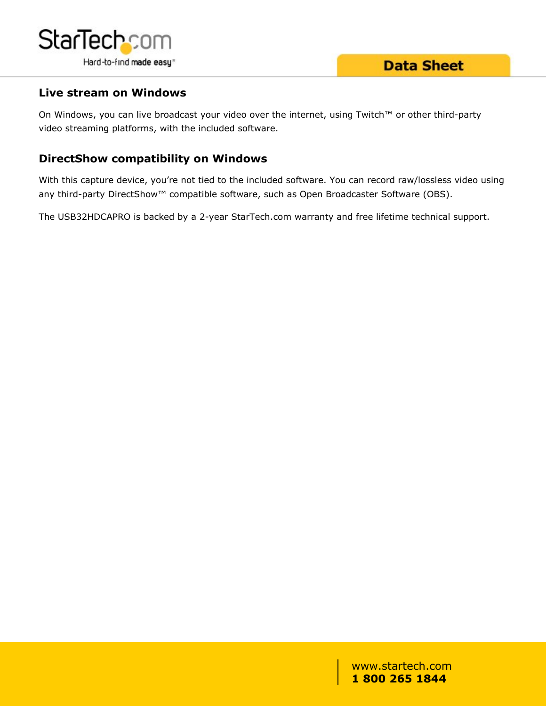

#### **Live stream on Windows**

On Windows, you can live broadcast your video over the internet, using Twitch™ or other third-party video streaming platforms, with the included software.

#### **DirectShow compatibility on Windows**

With this capture device, you're not tied to the included software. You can record raw/lossless video using any third-party DirectShow<sup>™</sup> compatible software, such as Open Broadcaster Software (OBS).

The USB32HDCAPRO is backed by a 2-year StarTech.com warranty and free lifetime technical support.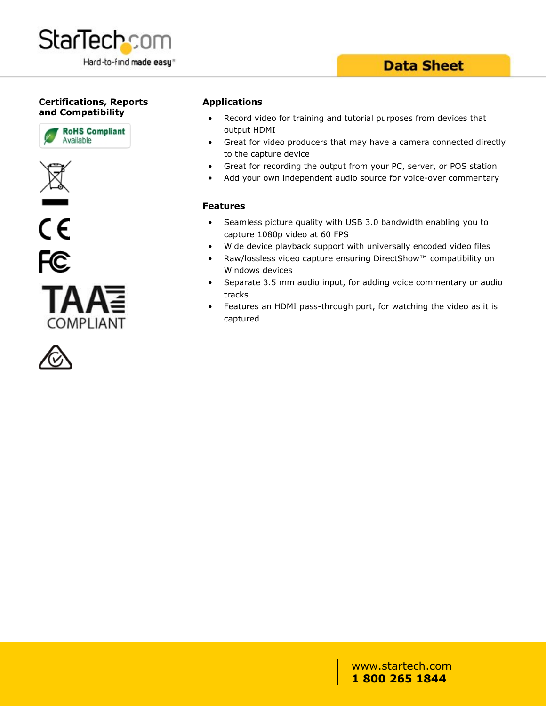

### **Data Sheet**

#### **Certifications, Reports and Compatibility**











#### **Applications**

- Record video for training and tutorial purposes from devices that output HDMI
- Great for video producers that may have a camera connected directly to the capture device
- Great for recording the output from your PC, server, or POS station
- Add your own independent audio source for voice-over commentary

#### **Features**

- Seamless picture quality with USB 3.0 bandwidth enabling you to capture 1080p video at 60 FPS
- Wide device playback support with universally encoded video files
- Raw/lossless video capture ensuring DirectShow™ compatibility on Windows devices
- Separate 3.5 mm audio input, for adding voice commentary or audio tracks
- Features an HDMI pass-through port, for watching the video as it is captured